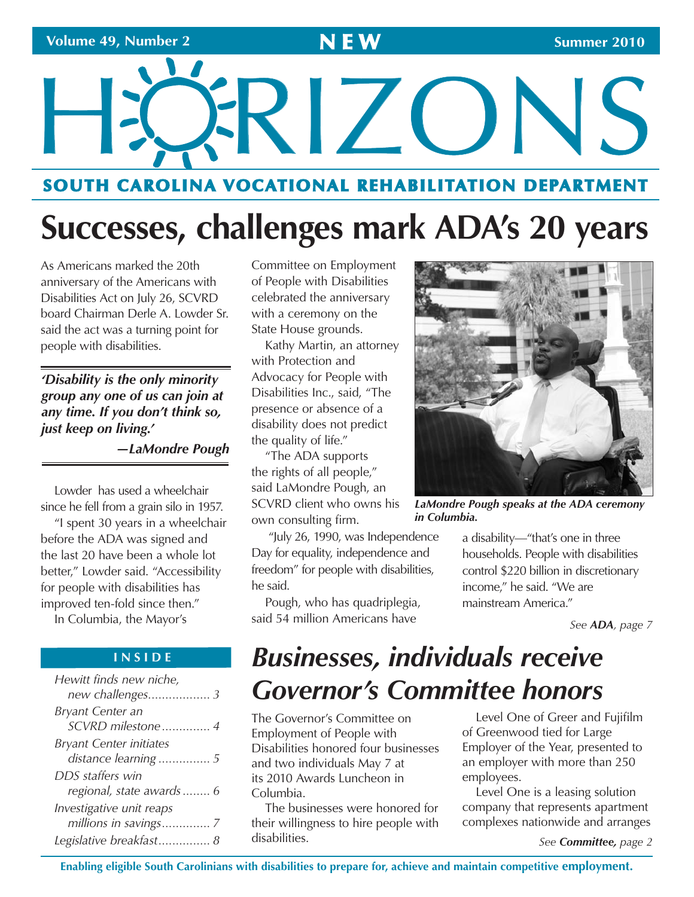# HÖRIZONS **SOUTH CAROLINA VOCATIONAL REHABILITATION DEPARTMENT**

# **Successes, challenges mark ADA's 20 years**

 As Americans marked the 20th anniversary of the Americans with Disabilities Act on July 26, SCVRD board Chairman Derle A. Lowder Sr. said the act was a turning point for people with disabilities.

*'Disability is the only minority group any one of us can join at any time. If you don't think so, just keep on living.'* 

*—LaMondre Pough* 

Lowder has used a wheelchair since he fell from a grain silo in 1957.

"I spent 30 years in a wheelchair before the ADA was signed and the last 20 have been a whole lot better," Lowder said. "Accessibility for people with disabilities has improved ten-fold since then."

In Columbia, the Mayor's

### **I N S I D E**

| Hewitt finds new niche,        |
|--------------------------------|
| <b>Bryant Center an</b>        |
| SCVRD milestone 4              |
| <b>Bryant Center initiates</b> |
| distance learning  5           |
| DDS staffers win               |
| regional, state awards  6      |
| Investigative unit reaps       |
|                                |
| Legislative breakfast 8        |

Committee on Employment of People with Disabilities celebrated the anniversary with a ceremony on the State House grounds.

Kathy Martin, an attorney with Protection and Advocacy for People with Disabilities Inc., said, "The presence or absence of a disability does not predict the quality of life."

"The ADA supports the rights of all people," said LaMondre Pough, an SCVRD client who owns his own consulting firm.

 "July 26, 1990, was Independence freedom" for people with disabilities, Day for equality, independence and he said.

Pough, who has quadriplegia, said 54 million Americans have



*LaMondre Pough speaks at the ADA ceremony in Columbia.* 

 a disability—"that's one in three households. People with disabilities income," he said. "We are control \$220 billion in discretionary mainstream America."

*See ADA, page 7* 

### *Businesses, individuals receive Governor's Committee honors*

The Governor's Committee on Employment of People with Disabilities honored four businesses and two individuals May 7 at its 2010 Awards Luncheon in Columbia.

The businesses were honored for their willingness to hire people with disabilities.

Level One of Greer and Fujifilm of Greenwood tied for Large Employer of the Year, presented to an employer with more than 250 employees.

Level One is a leasing solution company that represents apartment complexes nationwide and arranges

*See Committee, page 2*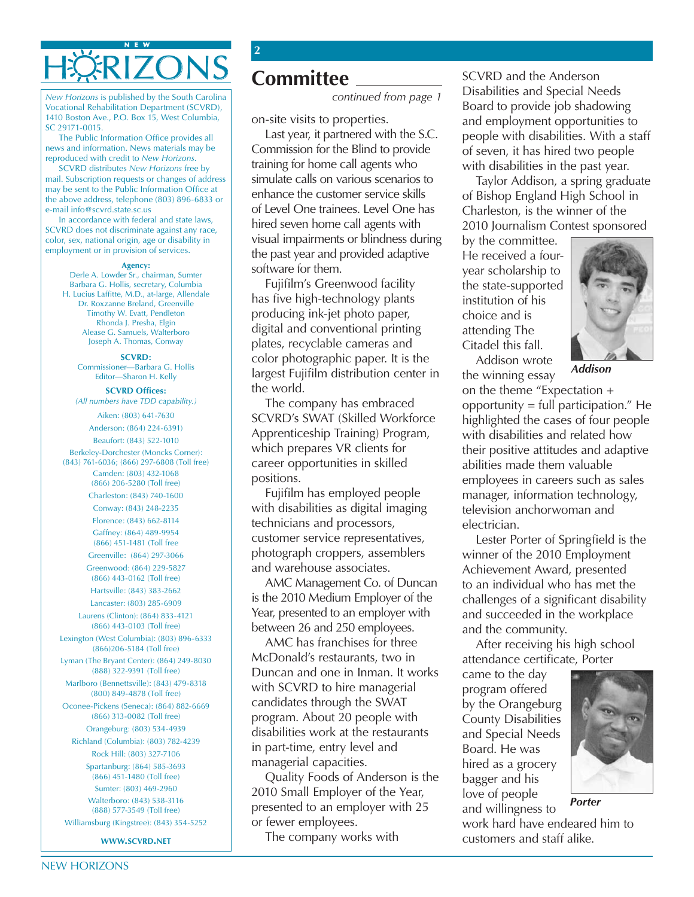### **N E W HÖRIZONS**

*New Horizons* is published by the South Carolina Vocational Rehabilitation Department (SCVRD), 1410 Boston Ave., P.O. Box 15, West Columbia, SC 29171-0015.

The Public Information Office provides all news and information. News materials may be reproduced with credit to *New Horizons.* 

SCVRD distributes *New Horizons* free by mail. Subscription requests or changes of address may be sent to the Public Information Office at the above address, telephone (803) 896-6833 or e-mail info@scvrd.state.sc.us

In accordance with federal and state laws, SCVRD does not discriminate against any race, color, sex, national origin, age or disability in employment or in provision of services.

#### **Agency:**

Derle A. Lowder Sr., chairman, Sumter Barbara G. Hollis, secretary, Columbia H. Lucius Laffitte, M.D., at-large, Allendale Dr. Roxzanne Breland, Greenville Timothy W. Evatt, Pendleton Rhonda J. Presha, Elgin Alease G. Samuels, Walterboro Joseph A. Thomas, Conway

#### **SCVRD:**

Commissioner—Barbara G. Hollis Editor—Sharon H. Kelly

**SCVRD Offices:**  *(All numbers have TDD capability.)* 

> Aiken: (803) 641-7630 Anderson: (864) 224-6391)

Beaufort: (843) 522-1010

Berkeley-Dorchester (Moncks Corner): (843) 761-6036; (866) 297-6808 (Toll free)

Camden: (803) 432-1068 (866) 206-5280 (Toll free)

Charleston: (843) 740-1600

Conway: (843) 248-2235 Florence: (843) 662-8114

Gaffney: (864) 489-9954 (866) 451-1481 (Toll free Greenville: (864) 297-3066

Greenwood: (864) 229-5827 (866) 443-0162 (Toll free) Hartsville: (843) 383-2662

Lancaster: (803) 285-6909 Laurens (Clinton): (864) 833-4121

(866) 443-0103 (Toll free) Lexington (West Columbia): (803) 896-6333

(866)206-5184 (Toll free) Lyman (The Bryant Center): (864) 249-8030

(888) 322-9391 (Toll free) Marlboro (Bennettsville): (843) 479-8318

(800) 849-4878 (Toll free)

Oconee-Pickens (Seneca): (864) 882-6669 (866) 313-0082 (Toll free) Orangeburg: (803) 534-4939

Richland (Columbia): (803) 782-4239 Rock Hill: (803) 327-7106

Spartanburg: (864) 585-3693 (866) 451-1480 (Toll free) Sumter: (803) 469-2960 Walterboro: (843) 538-3116 (888) 577-3549 (Toll free)

Williamsburg (Kingstree): (843) 354-5252

**www.scvrd.net**

### **Committee**

**2** 

*continued from page 1* 

on-site visits to properties.

 Commission for the Blind to provide training for home call agents who simulate calls on various scenarios to enhance the customer service skills of Level One trainees. Level One has hired seven home call agents with visual impairments or blindness during the past year and provided adaptive Last year, it partnered with the S.C. software for them.

Fujifilm's Greenwood facility has five high-technology plants producing ink-jet photo paper, digital and conventional printing plates, recyclable cameras and color photographic paper. It is the largest Fujifilm distribution center in the world.

The company has embraced SCVRD's SWAT (Skilled Workforce Apprenticeship Training) Program, which prepares VR clients for career opportunities in skilled positions.

Fujifilm has employed people with disabilities as digital imaging technicians and processors, customer service representatives, photograph croppers, assemblers and warehouse associates.

 AMC Management Co. of Duncan Year, presented to an employer with is the 2010 Medium Employer of the between 26 and 250 employees.

AMC has franchises for three McDonald's restaurants, two in Duncan and one in Inman. It works with SCVRD to hire managerial candidates through the SWAT program. About 20 people with disabilities work at the restaurants in part-time, entry level and managerial capacities.

Quality Foods of Anderson is the 2010 Small Employer of the Year, presented to an employer with 25 or fewer employees.

The company works with

SCVRD and the Anderson Disabilities and Special Needs Board to provide job shadowing and employment opportunities to people with disabilities. With a staff of seven, it has hired two people with disabilities in the past year.

Taylor Addison, a spring graduate of Bishop England High School in Charleston, is the winner of the 2010 Journalism Contest sponsored

by the committee. He received a fouryear scholarship to the state-supported institution of his choice and is attending The Citadel this fall.

Addison wrote



*Addison* 

the winning essay on the theme "Expectation + opportunity  $=$  full participation." He highlighted the cases of four people with disabilities and related how their positive attitudes and adaptive abilities made them valuable employees in careers such as sales manager, information technology, television anchorwoman and electrician.

Lester Porter of Springfield is the winner of the 2010 Employment Achievement Award, presented to an individual who has met the challenges of a significant disability and succeeded in the workplace and the community.

After receiving his high school attendance certificate, Porter

came to the day program offered by the Orangeburg County Disabilities and Special Needs Board. He was hired as a grocery bagger and his love of people and willingness to



*Porter* 

work hard have endeared him to customers and staff alike.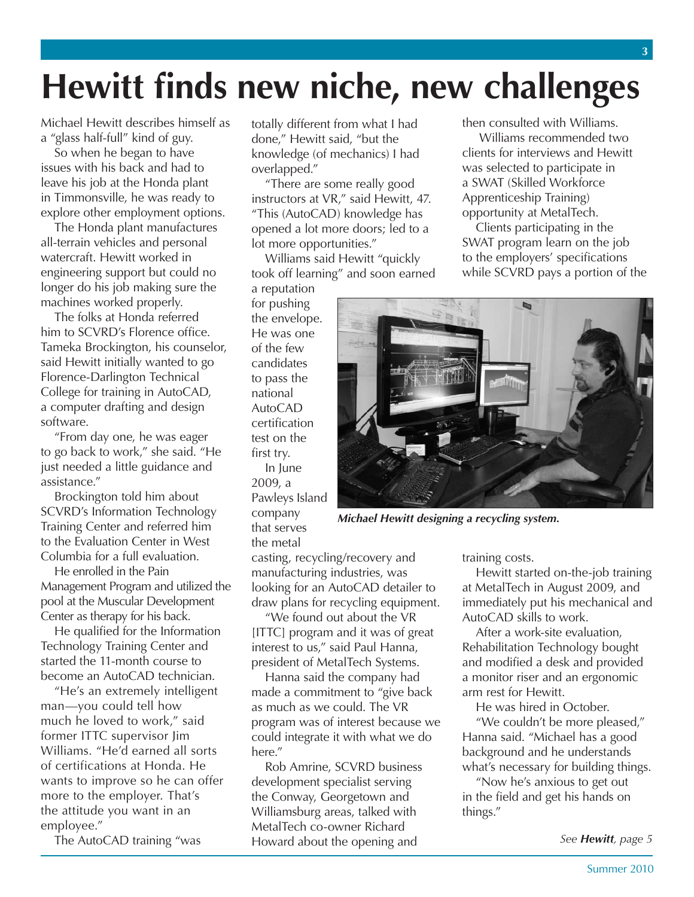## **Hewitt finds new niche, new challenges**

Michael Hewitt describes himself as a "glass half-full" kind of guy.

So when he began to have issues with his back and had to leave his job at the Honda plant in Timmonsville, he was ready to explore other employment options.

The Honda plant manufactures all-terrain vehicles and personal watercraft. Hewitt worked in engineering support but could no longer do his job making sure the machines worked properly.

The folks at Honda referred him to SCVRD's Florence office. Tameka Brockington, his counselor, said Hewitt initially wanted to go Florence-Darlington Technical College for training in AutoCAD, a computer drafting and design software.

"From day one, he was eager to go back to work," she said. "He just needed a little guidance and assistance."

Brockington told him about SCVRD's Information Technology Training Center and referred him to the Evaluation Center in West Columbia for a full evaluation.

 Management Program and utilized the He enrolled in the Pain pool at the Muscular Development Center as therapy for his back.

He qualified for the Information Technology Training Center and started the 11-month course to become an AutoCAD technician.

 "He's an extremely intelligent man—you could tell how much he loved to work," said of certifications at Honda. He more to the employer. That's the attitude you want in an former ITTC supervisor Jim Williams. "He'd earned all sorts wants to improve so he can offer employee."

The AutoCAD training "was

totally different from what I had done," Hewitt said, "but the knowledge (of mechanics) I had overlapped."

"There are some really good instructors at VR," said Hewitt, 47. "This (AutoCAD) knowledge has opened a lot more doors; led to a lot more opportunities."

Williams said Hewitt "quickly took off learning" and soon earned

a reputation for pushing the envelope. He was one of the few candidates to pass the national AutoCAD certification test on the first try. In June 2009, a Pawleys Island company that serves the metal

then consulted with Williams.

 Williams recommended two clients for interviews and Hewitt was selected to participate in a SWAT (Skilled Workforce Apprenticeship Training) opportunity at MetalTech.

Clients participating in the SWAT program learn on the job to the employers' specifications while SCVRD pays a portion of the



*Michael Hewitt designing a recycling system.* 

casting, recycling/recovery and manufacturing industries, was looking for an AutoCAD detailer to draw plans for recycling equipment.

"We found out about the VR [ITTC] program and it was of great interest to us," said Paul Hanna, president of MetalTech Systems.

Hanna said the company had made a commitment to "give back as much as we could. The VR program was of interest because we could integrate it with what we do here"

Rob Amrine, SCVRD business development specialist serving the Conway, Georgetown and Williamsburg areas, talked with MetalTech co-owner Richard Howard about the opening and

training costs.

Hewitt started on-the-job training at MetalTech in August 2009, and immediately put his mechanical and AutoCAD skills to work.

After a work-site evaluation, Rehabilitation Technology bought and modified a desk and provided a monitor riser and an ergonomic arm rest for Hewitt.

He was hired in October.

"We couldn't be more pleased," Hanna said. "Michael has a good background and he understands what's necessary for building things.

"Now he's anxious to get out in the field and get his hands on things."

*See Hewitt, page 5*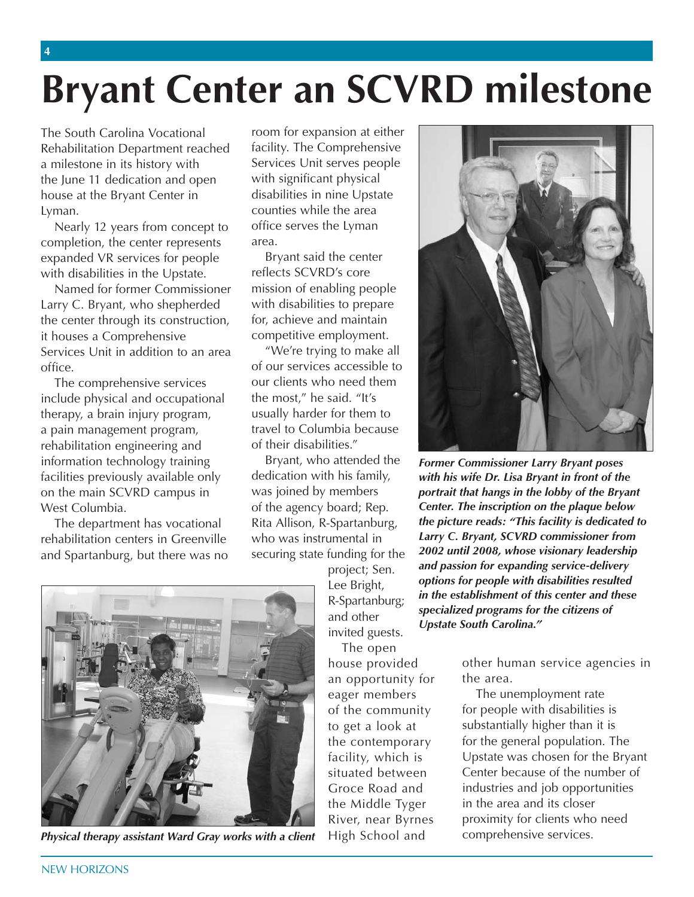# **Bryant Center an SCVRD milestone**

 The South Carolina Vocational house at the Bryant Center in Rehabilitation Department reached a milestone in its history with the June 11 dedication and open Lyman.

 completion, the center represents with disabilities in the Upstate. Nearly 12 years from concept to expanded VR services for people

 Named for former Commissioner the center through its construction, Services Unit in addition to an area Larry C. Bryant, who shepherded it houses a Comprehensive office.

 include physical and occupational therapy, a brain injury program, a pain management program, facilities previously available only West Columbia. The comprehensive services rehabilitation engineering and information technology training on the main SCVRD campus in

 The department has vocational rehabilitation centers in Greenville and Spartanburg, but there was no

 room for expansion at either facility. The Comprehensive Services Unit serves people counties while the area with significant physical disabilities in nine Upstate office serves the Lyman area.

 reflects SCVRD's core for, achieve and maintain Bryant said the center mission of enabling people with disabilities to prepare competitive employment.

 "We're trying to make all the most," he said. "It's travel to Columbia because of our services accessible to our clients who need them usually harder for them to of their disabilities."

Bryant, who attended the dedication with his family, was joined by members of the agency board; Rep. Rita Allison, R-Spartanburg, who was instrumental in securing state funding for the

invited guests.

 The open house provided of the community to get a look at facility, which is the Middle Tyger River, near Byrnes High School and an opportunity for the area.



**Former Commissioner Larry Bryant poses** with his wife Dr. Lisa Bryant in front of the portrait that hangs in the lobby of the Bryant Center. The inscription on the plaque below the picture reads: "This facility is dedicated to Larry C. Bryant, SCVRD commissioner from<br>2002 until 2008, whose visionary leadership securing state funding for the 2002 until 2008, whose visionary leadership<br>project; Sen.<br>Lee Bright, and passion for expanding service-delivery<br>lee Bright, protions for people with disabilities resulted<br>R-Spartanburg; in t

house provided other human service agencies in

to get a look at substantially higher than it is facility, which is Upstate was chosen for the Bryant Groce Road and industries and job opportunities River, near Byrnes proximity for clients who need eager members The unemployment rate for people with disabilities is the contemporary for the general population. The situated between Center because of the number of in the area and its closer comprehensive services.



*Physical therapy assistant Ward Gray works with a client*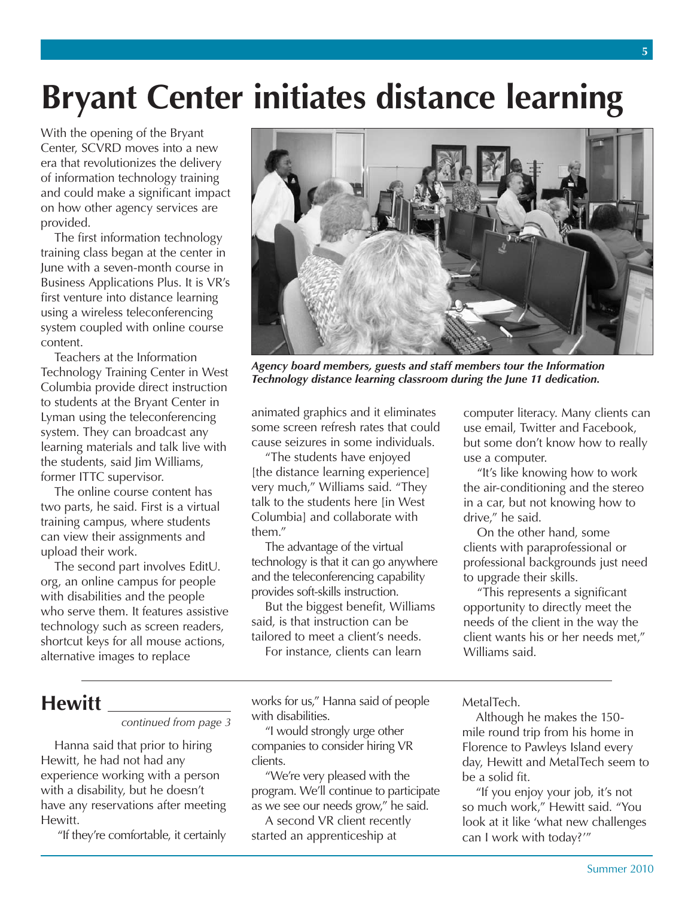## **Bryant Center initiates distance learning**

With the opening of the Bryant Center, SCVRD moves into a new era that revolutionizes the delivery of information technology training and could make a significant impact on how other agency services are provided.

The first information technology training class began at the center in June with a seven-month course in Business Applications Plus. It is VR's first venture into distance learning using a wireless teleconferencing system coupled with online course content.

Teachers at the Information Technology Training Center in West Columbia provide direct instruction to students at the Bryant Center in Lyman using the teleconferencing system. They can broadcast any learning materials and talk live with the students, said Jim Williams, former ITTC supervisor.

The online course content has two parts, he said. First is a virtual training campus, where students can view their assignments and upload their work.

The second part involves EditU. org, an online campus for people with disabilities and the people who serve them. It features assistive technology such as screen readers, shortcut keys for all mouse actions, alternative images to replace



*Agency board members, guests and staff members tour the Information Technology distance learning classroom during the June 11 dedication.* 

animated graphics and it eliminates some screen refresh rates that could cause seizures in some individuals.

"The students have enjoyed [the distance learning experience] very much," Williams said. "They talk to the students here [in West Columbia] and collaborate with them"

 and the teleconferencing capability The advantage of the virtual technology is that it can go anywhere provides soft-skills instruction.

But the biggest benefit, Williams said, is that instruction can be tailored to meet a client's needs.

For instance, clients can learn

use email, Twitter and Facebook, but some don't know how to really use a computer. "It's like knowing how to work

computer literacy. Many clients can

the air-conditioning and the stereo in a car, but not knowing how to drive," he said.

On the other hand, some clients with paraprofessional or professional backgrounds just need to upgrade their skills.

"This represents a significant opportunity to directly meet the needs of the client in the way the client wants his or her needs met," Williams said.

### **Hewitt**

*continued from page 3* 

Hanna said that prior to hiring Hewitt, he had not had any experience working with a person with a disability, but he doesn't have any reservations after meeting Hewitt.

"If they're comfortable, it certainly

 works for us," Hanna said of people with disabilities.

 companies to consider hiring VR "I would strongly urge other clients.

 program. We'll continue to participate "We're very pleased with the as we see our needs grow," he said.

A second VR client recently started an apprenticeship at

MetalTech.

Although he makes the 150 mile round trip from his home in Florence to Pawleys Island every day, Hewitt and MetalTech seem to be a solid fit.

"If you enjoy your job, it's not so much work," Hewitt said. "You look at it like 'what new challenges can I work with today?'"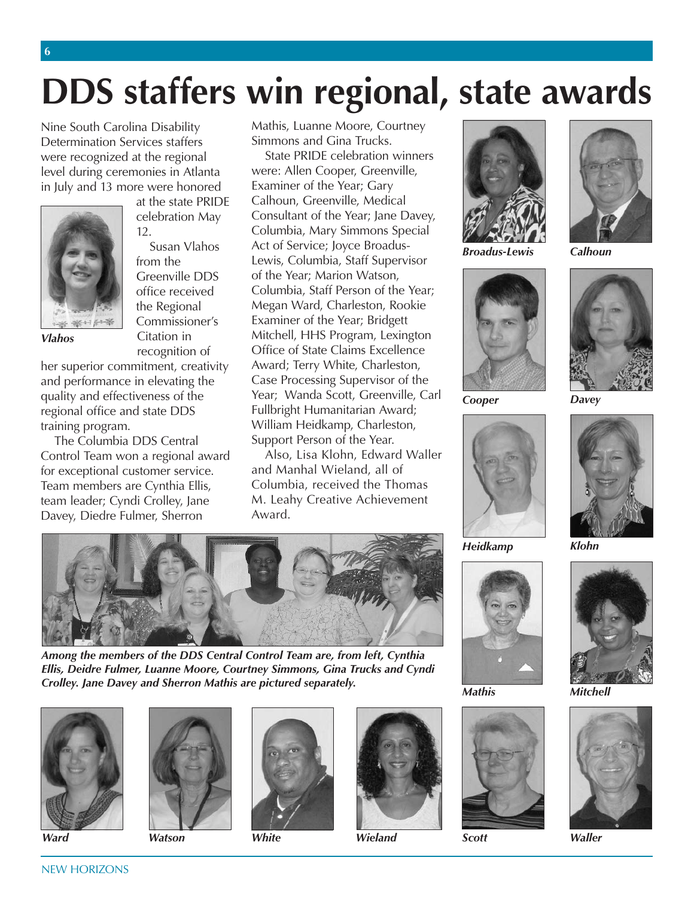# **DDS staffers win regional, state awards**

Nine South Carolina Disability Determination Services staffers were recognized at the regional level during ceremonies in Atlanta in July and 13 more were honored



at the state PRIDE celebration May 12.

Susan Vlahos from the Greenville DDS office received the Regional Commissioner's *Vlahos* Citation in recognition of

**6** 

her superior commitment, creativity and performance in elevating the quality and effectiveness of the regional office and state DDS training program.

The Columbia DDS Central Control Team won a regional award for exceptional customer service. Team members are Cynthia Ellis, team leader; Cyndi Crolley, Jane Davey, Diedre Fulmer, Sherron

Mathis, Luanne Moore, Courtney Simmons and Gina Trucks.

State PRIDE celebration winners were: Allen Cooper, Greenville, Examiner of the Year; Gary Calhoun, Greenville, Medical Consultant of the Year; Jane Davey, Columbia, Mary Simmons Special Act of Service; Joyce Broadus-Lewis, Columbia, Staff Supervisor of the Year; Marion Watson, Columbia, Staff Person of the Year; Megan Ward, Charleston, Rookie Examiner of the Year; Bridgett Mitchell, HHS Program, Lexington Office of State Claims Excellence Award; Terry White, Charleston, Case Processing Supervisor of the Year; Wanda Scott, Greenville, Carl Fullbright Humanitarian Award; William Heidkamp, Charleston, Support Person of the Year.

 Also, Lisa Klohn, Edward Waller and Manhal Wieland, all of Columbia, received the Thomas M. Leahy Creative Achievement Award.



*Among the members of the DDS Central Control Team are, from left, Cynthia Ellis, Deidre Fulmer, Luanne Moore, Courtney Simmons, Gina Trucks and Cyndi Crolley. Jane Davey and Sherron Mathis are pictured separately.* 







*Ward Watson White Wieland Scott Waller* 





*Broadus-Lewis Calhoun* 



*Cooper Davey* 



*Heidkamp Klohn* 













*Mathis Mitchell* 

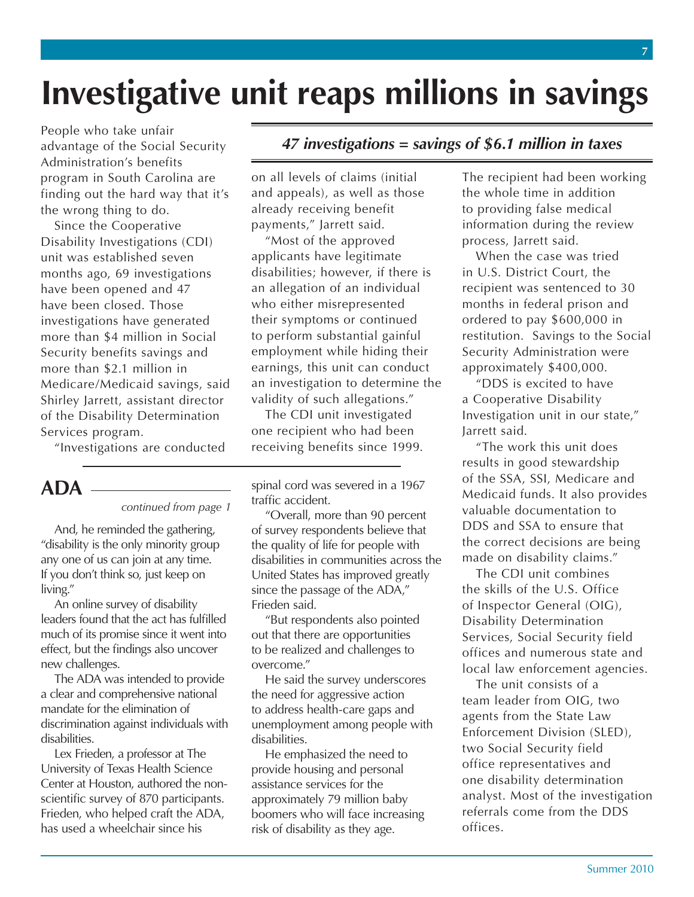## **Investigative unit reaps millions in savings**

 People who take unfair advantage of the Social Security program in South Carolina are finding out the hard way that it's Administration's benefits the wrong thing to do.

 unit was established seven months ago, 69 investigations have been opened and 47 have been closed. Those investigations have generated more than \$2.1 million in Medicare/Medicaid savings, said Shirley Jarrett, assistant director of the Disability Determination Since the Cooperative Disability Investigations (CDI) more than \$4 million in Social Security benefits savings and Services program.

"Investigations are conducted

### **ADA**

#### *continued from page 1*

 And, he reminded the gathering, "disability is the only minority group any one of us can join at any time. If you don't think so, just keep on living."

 much of its promise since it went into effect, but the findings also uncover An online survey of disability leaders found that the act has fulfilled new challenges.

 The ADA was intended to provide mandate for the elimination of a clear and comprehensive national discrimination against individuals with disabilities.

 Lex Frieden, a professor at The scientific survey of 870 participants. Frieden, who helped craft the ADA, has used a wheelchair since his University of Texas Health Science Center at Houston, authored the non-

### *47 investigations = savings of \$6.1 million in taxes*

 on all levels of claims (initial already receiving benefit and appeals), as well as those payments," Jarrett said.

 applicants have legitimate disabilities; however, if there is who either misrepresented their symptoms or continued employment while hiding their earnings, this unit can conduct "Most of the approved an allegation of an individual to perform substantial gainful an investigation to determine the validity of such allegations."

 one recipient who had been The CDI unit investigated receiving benefits since 1999.

 spinal cord was severed in a 1967 traffic accident.

 "Overall, more than 90 percent of survey respondents believe that the quality of life for people with United States has improved greatly since the passage of the ADA," disabilities in communities across the Frieden said.

 "But respondents also pointed out that there are opportunities to be realized and challenges to overcome."

 He said the survey underscores the need for aggressive action to address health-care gaps and unemployment among people with disabilities.

 provide housing and personal assistance services for the approximately 79 million baby boomers who will face increasing He emphasized the need to risk of disability as they age.

 the whole time in addition to providing false medical information during the review process, Jarrett said. The recipient had been working

 When the case was tried in U.S. District Court, the recipient was sentenced to 30 months in federal prison and restitution. Savings to the Social approximately \$400,000. ordered to pay \$600,000 in Security Administration were

 "DDS is excited to have Jarrett said. a Cooperative Disability Investigation unit in our state,"

 of the SSA, SSI, Medicare and Medicaid funds. It also provides DDS and SSA to ensure that the correct decisions are being "The work this unit does results in good stewardship valuable documentation to made on disability claims."

 of Inspector General (OIG), Services, Social Security field local law enforcement agencies. The CDI unit combines the skills of the U.S. Office Disability Determination offices and numerous state and

 The unit consists of a Enforcement Division (SLED), two Social Security field one disability determination analyst. Most of the investigation team leader from OIG, two agents from the State Law office representatives and referrals come from the DDS offices.